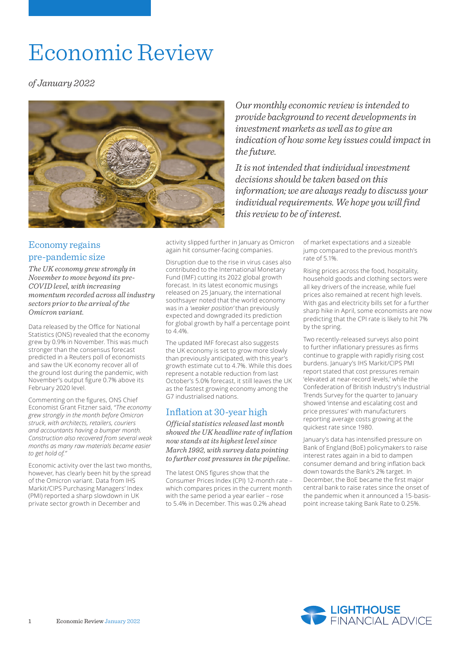# Economic Review

*of January 2022*



*Our monthly economic review is intended to provide background to recent developments in investment markets as well as to give an indication of how some key issues could impact in the future.*

*It is not intended that individual investment decisions should be taken based on this information; we are always ready to discuss your individual requirements. We hope you will find this review to be of interest.*

# Economy regains pre-pandemic size

*The UK economy grew strongly in November to move beyond its pre-COVID level, with increasing momentum recorded across all industry sectors prior to the arrival of the Omicron variant.*

Data released by the Office for National Statistics (ONS) revealed that the economy grew by 0.9% in November. This was much stronger than the consensus forecast predicted in a Reuters poll of economists and saw the UK economy recover all of the ground lost during the pandemic, with November's output figure 0.7% above its February 2020 level.

Commenting on the figures, ONS Chief Economist Grant Fitzner said, *"The economy grew strongly in the month before Omicron struck, with architects, retailers, couriers and accountants having a bumper month. Construction also recovered from several weak months as many raw materials became easier to get hold of."*

Economic activity over the last two months, however, has clearly been hit by the spread of the Omicron variant. Data from IHS Markit/CIPS Purchasing Managers' Index (PMI) reported a sharp slowdown in UK private sector growth in December and

activity slipped further in January as Omicron again hit consumer-facing companies.

Disruption due to the rise in virus cases also contributed to the International Monetary Fund (IMF) cutting its 2022 global growth forecast. In its latest economic musings released on 25 January, the international soothsayer noted that the world economy was in a *'weaker position'* than previously expected and downgraded its prediction for global growth by half a percentage point to 4.4%.

The updated IMF forecast also suggests the UK economy is set to grow more slowly than previously anticipated, with this year's growth estimate cut to 4.7%. While this does represent a notable reduction from last October's 5.0% forecast, it still leaves the UK as the fastest growing economy among the G7 industrialised nations.

# Inflation at 30-year high

*Official statistics released last month showed the UK headline rate of inflation now stands at its highest level since March 1992, with survey data pointing to further cost pressures in the pipeline.*

The latest ONS figures show that the Consumer Prices Index (CPI) 12-month rate – which compares prices in the current month with the same period a year earlier – rose to 5.4% in December. This was 0.2% ahead

of market expectations and a sizeable jump compared to the previous month's rate of 5.1%.

Rising prices across the food, hospitality, household goods and clothing sectors were all key drivers of the increase, while fuel prices also remained at recent high levels. With gas and electricity bills set for a further sharp hike in April, some economists are now predicting that the CPI rate is likely to hit 7% by the spring.

Two recently-released surveys also point to further inflationary pressures as firms continue to grapple with rapidly rising cost burdens. January's IHS Markit/CIPS PMI report stated that cost pressures remain 'elevated at near-record levels,' while the Confederation of British Industry's Industrial Trends Survey for the quarter to January showed 'intense and escalating cost and price pressures' with manufacturers reporting average costs growing at the quickest rate since 1980.

January's data has intensified pressure on Bank of England (BoE) policymakers to raise interest rates again in a bid to dampen consumer demand and bring inflation back down towards the Bank's 2% target. In December, the BoE became the first major central bank to raise rates since the onset of the pandemic when it announced a 15-basispoint increase taking Bank Rate to 0.25%.